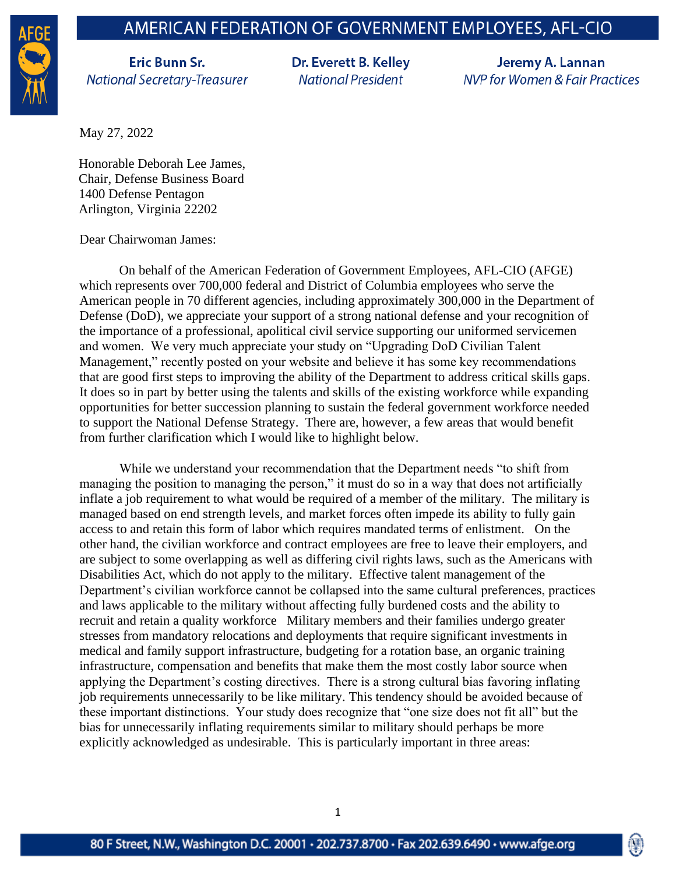## AMERICAN FEDERATION OF GOVERNMENT EMPLOYEES, AFL-CIO



**Eric Bunn Sr. National Secretary-Treasurer**  Dr. Everett B. Kelley **National President** 

Jeremy A. Lannan **NVP for Women & Fair Practices** 

(V)

May 27, 2022

Honorable Deborah Lee James, Chair, Defense Business Board 1400 Defense Pentagon Arlington, Virginia 22202

Dear Chairwoman James:

On behalf of the American Federation of Government Employees, AFL-CIO (AFGE) which represents over 700,000 federal and District of Columbia employees who serve the American people in 70 different agencies, including approximately 300,000 in the Department of Defense (DoD), we appreciate your support of a strong national defense and your recognition of the importance of a professional, apolitical civil service supporting our uniformed servicemen and women. We very much appreciate your study on "Upgrading DoD Civilian Talent Management," recently posted on your website and believe it has some key recommendations that are good first steps to improving the ability of the Department to address critical skills gaps. It does so in part by better using the talents and skills of the existing workforce while expanding opportunities for better succession planning to sustain the federal government workforce needed to support the National Defense Strategy. There are, however, a few areas that would benefit from further clarification which I would like to highlight below.

While we understand your recommendation that the Department needs "to shift from managing the position to managing the person," it must do so in a way that does not artificially inflate a job requirement to what would be required of a member of the military. The military is managed based on end strength levels, and market forces often impede its ability to fully gain access to and retain this form of labor which requires mandated terms of enlistment. On the other hand, the civilian workforce and contract employees are free to leave their employers, and are subject to some overlapping as well as differing civil rights laws, such as the Americans with Disabilities Act, which do not apply to the military. Effective talent management of the Department's civilian workforce cannot be collapsed into the same cultural preferences, practices and laws applicable to the military without affecting fully burdened costs and the ability to recruit and retain a quality workforce Military members and their families undergo greater stresses from mandatory relocations and deployments that require significant investments in medical and family support infrastructure, budgeting for a rotation base, an organic training infrastructure, compensation and benefits that make them the most costly labor source when applying the Department's costing directives. There is a strong cultural bias favoring inflating job requirements unnecessarily to be like military. This tendency should be avoided because of these important distinctions. Your study does recognize that "one size does not fit all" but the bias for unnecessarily inflating requirements similar to military should perhaps be more explicitly acknowledged as undesirable. This is particularly important in three areas: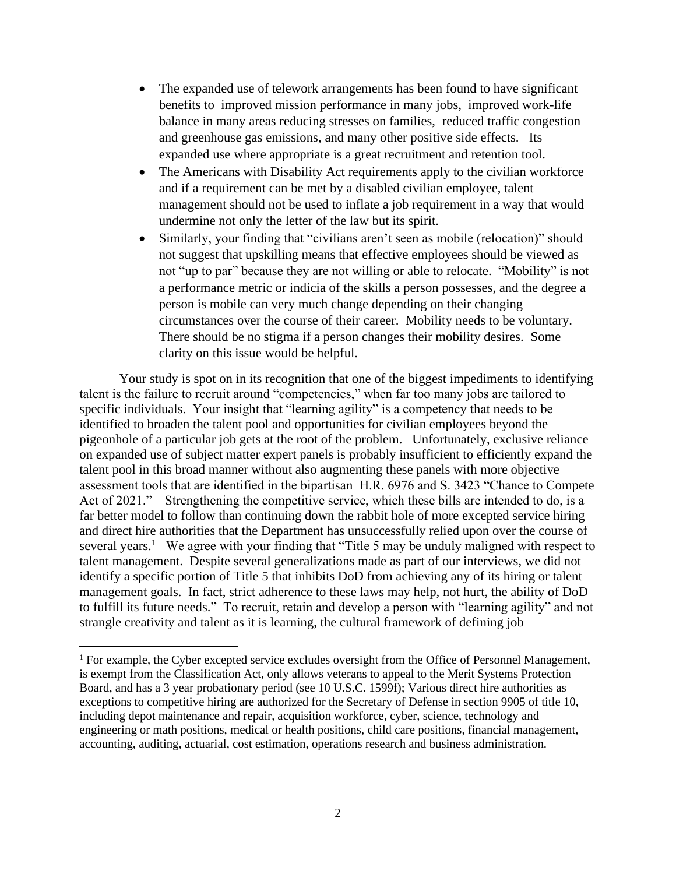- The expanded use of telework arrangements has been found to have significant benefits to improved mission performance in many jobs, improved work-life balance in many areas reducing stresses on families, reduced traffic congestion and greenhouse gas emissions, and many other positive side effects. Its expanded use where appropriate is a great recruitment and retention tool.
- The Americans with Disability Act requirements apply to the civilian workforce and if a requirement can be met by a disabled civilian employee, talent management should not be used to inflate a job requirement in a way that would undermine not only the letter of the law but its spirit.
- Similarly, your finding that "civilians aren't seen as mobile (relocation)" should not suggest that upskilling means that effective employees should be viewed as not "up to par" because they are not willing or able to relocate. "Mobility" is not a performance metric or indicia of the skills a person possesses, and the degree a person is mobile can very much change depending on their changing circumstances over the course of their career. Mobility needs to be voluntary. There should be no stigma if a person changes their mobility desires. Some clarity on this issue would be helpful.

Your study is spot on in its recognition that one of the biggest impediments to identifying talent is the failure to recruit around "competencies," when far too many jobs are tailored to specific individuals. Your insight that "learning agility" is a competency that needs to be identified to broaden the talent pool and opportunities for civilian employees beyond the pigeonhole of a particular job gets at the root of the problem. Unfortunately, exclusive reliance on expanded use of subject matter expert panels is probably insufficient to efficiently expand the talent pool in this broad manner without also augmenting these panels with more objective assessment tools that are identified in the bipartisan H.R. 6976 and S. 3423 "Chance to Compete Act of 2021." Strengthening the competitive service, which these bills are intended to do, is a far better model to follow than continuing down the rabbit hole of more excepted service hiring and direct hire authorities that the Department has unsuccessfully relied upon over the course of several years.<sup>1</sup> We agree with your finding that "Title 5 may be unduly maligned with respect to talent management. Despite several generalizations made as part of our interviews, we did not identify a specific portion of Title 5 that inhibits DoD from achieving any of its hiring or talent management goals. In fact, strict adherence to these laws may help, not hurt, the ability of DoD to fulfill its future needs." To recruit, retain and develop a person with "learning agility" and not strangle creativity and talent as it is learning, the cultural framework of defining job

<sup>&</sup>lt;sup>1</sup> For example, the Cyber excepted service excludes oversight from the Office of Personnel Management, is exempt from the Classification Act, only allows veterans to appeal to the Merit Systems Protection Board, and has a 3 year probationary period (see 10 U.S.C. 1599f); Various direct hire authorities as exceptions to competitive hiring are authorized for the Secretary of Defense in section 9905 of title 10, including depot maintenance and repair, acquisition workforce, cyber, science, technology and engineering or math positions, medical or health positions, child care positions, financial management, accounting, auditing, actuarial, cost estimation, operations research and business administration.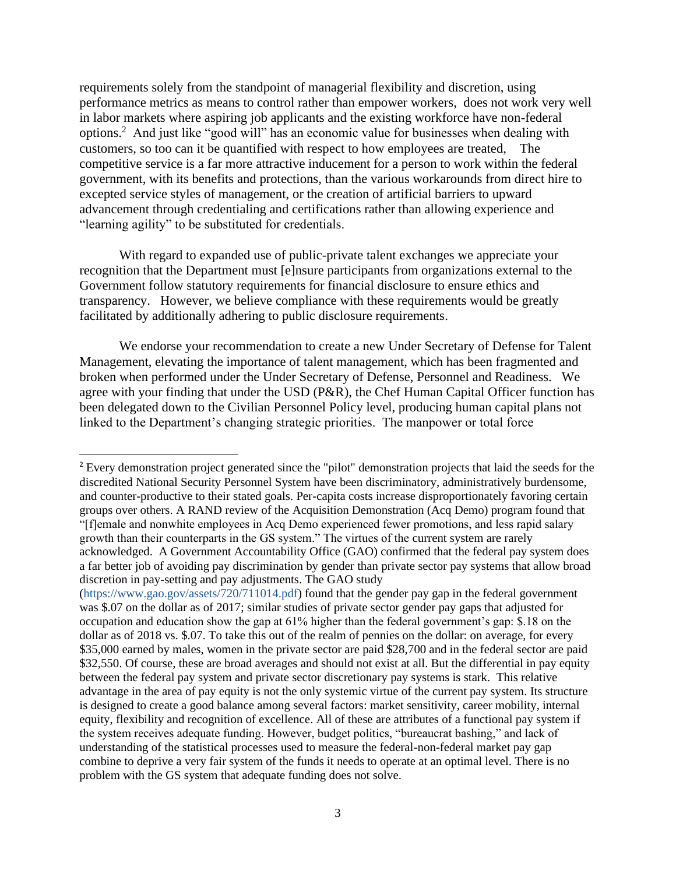requirements solely from the standpoint of managerial flexibility and discretion, using performance metrics as means to control rather than empower workers, does not work very well in labor markets where aspiring job applicants and the existing workforce have non-federal options.<sup>2</sup> And just like "good will" has an economic value for businesses when dealing with customers, so too can it be quantified with respect to how employees are treated, The competitive service is a far more attractive inducement for a person to work within the federal government, with its benefits and protections, than the various workarounds from direct hire to excepted service styles of management, or the creation of artificial barriers to upward advancement through credentialing and certifications rather than allowing experience and "learning agility" to be substituted for credentials.

With regard to expanded use of public-private talent exchanges we appreciate your recognition that the Department must [e]nsure participants from organizations external to the Government follow statutory requirements for financial disclosure to ensure ethics and transparency. However, we believe compliance with these requirements would be greatly facilitated by additionally adhering to public disclosure requirements.

We endorse your recommendation to create a new Under Secretary of Defense for Talent Management, elevating the importance of talent management, which has been fragmented and broken when performed under the Under Secretary of Defense, Personnel and Readiness. We agree with your finding that under the USD (P&R), the Chef Human Capital Officer function has been delegated down to the Civilian Personnel Policy level, producing human capital plans not linked to the Department's changing strategic priorities. The manpower or total force

<sup>&</sup>lt;sup>2</sup> Every demonstration project generated since the "pilot" demonstration projects that laid the seeds for the discredited National Security Personnel System have been discriminatory, administratively burdensome, and counter-productive to their stated goals. Per-capita costs increase disproportionately favoring certain groups over others. A RAND review of the Acquisition Demonstration (Acq Demo) program found that "[f]emale and nonwhite employees in Acq Demo experienced fewer promotions, and less rapid salary growth than their counterparts in the GS system." The virtues of the current system are rarely acknowledged. A Government Accountability Office (GAO) confirmed that the federal pay system does a far better job of avoiding pay discrimination by gender than private sector pay systems that allow broad discretion in pay-setting and pay adjustments. The GAO study

<sup>(</sup>https://www.gao.gov/assets/720/711014.pdf) found that the gender pay gap in the federal government was \$.07 on the dollar as of 2017; similar studies of private sector gender pay gaps that adjusted for occupation and education show the gap at 61% higher than the federal government's gap: \$.18 on the dollar as of 2018 vs. \$.07. To take this out of the realm of pennies on the dollar: on average, for every \$35,000 earned by males, women in the private sector are paid \$28,700 and in the federal sector are paid \$32,550. Of course, these are broad averages and should not exist at all. But the differential in pay equity between the federal pay system and private sector discretionary pay systems is stark. This relative advantage in the area of pay equity is not the only systemic virtue of the current pay system. Its structure is designed to create a good balance among several factors: market sensitivity, career mobility, internal equity, flexibility and recognition of excellence. All of these are attributes of a functional pay system if the system receives adequate funding. However, budget politics, "bureaucrat bashing," and lack of understanding of the statistical processes used to measure the federal-non-federal market pay gap combine to deprive a very fair system of the funds it needs to operate at an optimal level. There is no problem with the GS system that adequate funding does not solve.